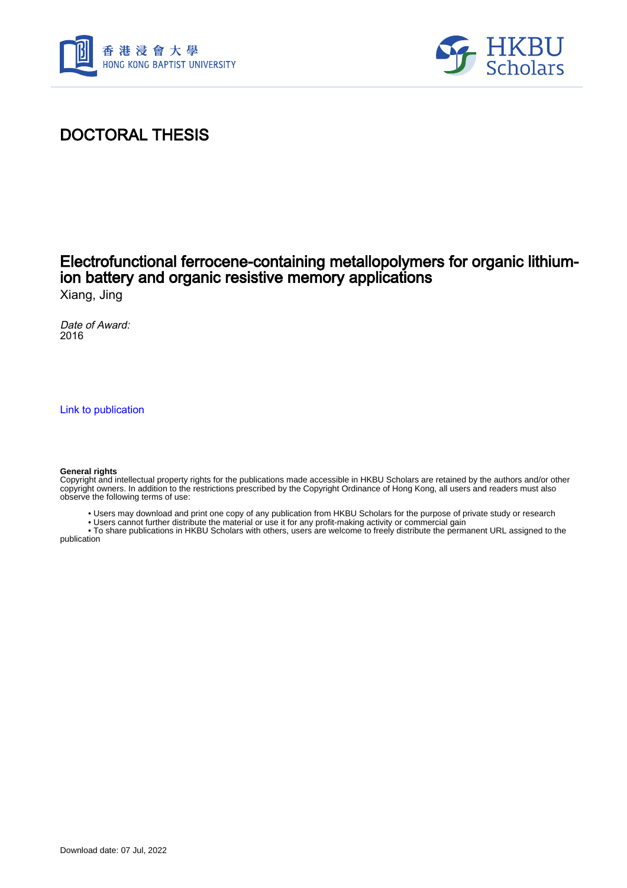



# DOCTORAL THESIS

## Electrofunctional ferrocene-containing metallopolymers for organic lithiumion battery and organic resistive memory applications

Xiang, Jing

Date of Award: 2016

[Link to publication](https://scholars.hkbu.edu.hk/en/studentTheses/e0e2e725-5d13-4a79-8ef8-d7d3648668c9)

#### **General rights**

Copyright and intellectual property rights for the publications made accessible in HKBU Scholars are retained by the authors and/or other copyright owners. In addition to the restrictions prescribed by the Copyright Ordinance of Hong Kong, all users and readers must also observe the following terms of use:

- Users may download and print one copy of any publication from HKBU Scholars for the purpose of private study or research
- Users cannot further distribute the material or use it for any profit-making activity or commercial gain

 • To share publications in HKBU Scholars with others, users are welcome to freely distribute the permanent URL assigned to the publication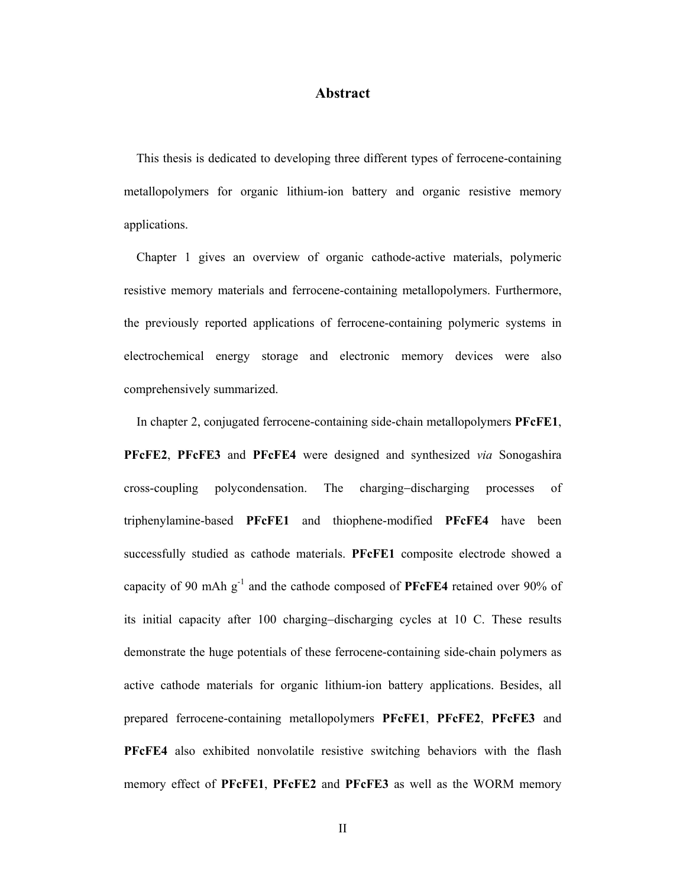### **Abstract**

 This thesis is dedicated to developing three different types of ferrocene-containing metallopolymers for organic lithium-ion battery and organic resistive memory applications.

 Chapter 1 gives an overview of organic cathode-active materials, polymeric resistive memory materials and ferrocene-containing metallopolymers. Furthermore, the previously reported applications of ferrocene-containing polymeric systems in electrochemical energy storage and electronic memory devices were also comprehensively summarized.

 In chapter 2, conjugated ferrocene-containing side-chain metallopolymers **PFcFE1**, **PFcFE2**, **PFcFE3** and **PFcFE4** were designed and synthesized *via* Sonogashira cross-coupling polycondensation. The charging-discharging processes of triphenylamine-based **PFcFE1** and thiophene-modified **PFcFE4** have been successfully studied as cathode materials. **PFcFE1** composite electrode showed a capacity of 90 mAh  $g^{-1}$  and the cathode composed of **PFcFE4** retained over 90% of its initial capacity after  $100$  charging-discharging cycles at  $10$  C. These results demonstrate the huge potentials of these ferrocene-containing side-chain polymers as active cathode materials for organic lithium-ion battery applications. Besides, all prepared ferrocene-containing metallopolymers **PFcFE1**, **PFcFE2**, **PFcFE3** and **PFcFE4** also exhibited nonvolatile resistive switching behaviors with the flash memory effect of **PFcFE1**, **PFcFE2** and **PFcFE3** as well as the WORM memory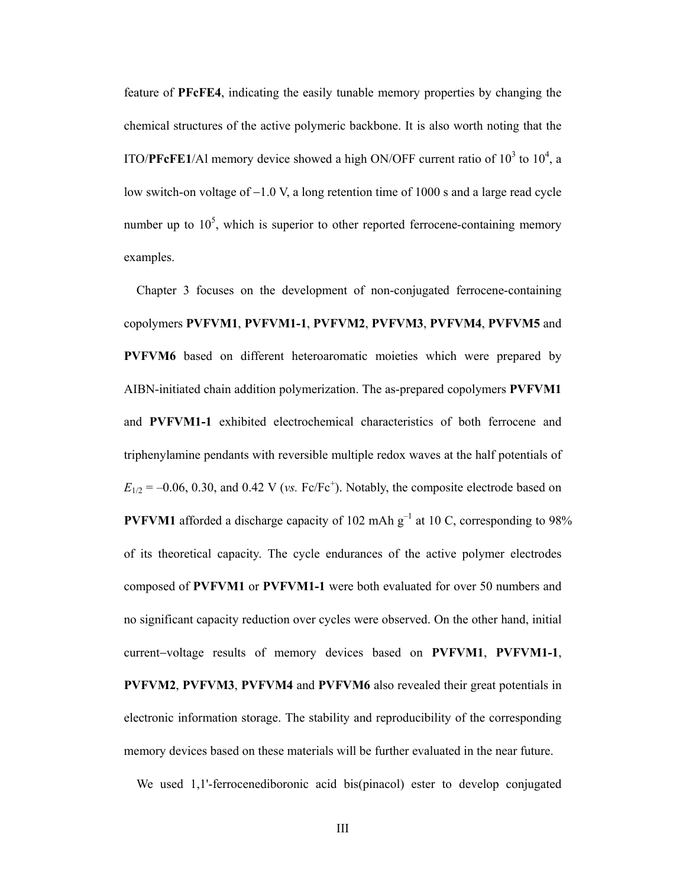feature of **PFcFE4**, indicating the easily tunable memory properties by changing the chemical structures of the active polymeric backbone. It is also worth noting that the ITO/**PFcFE1**/Al memory device showed a high ON/OFF current ratio of  $10^3$  to  $10^4$ , a low switch-on voltage of  $-1.0$  V, a long retention time of 1000 s and a large read cycle number up to  $10<sup>5</sup>$ , which is superior to other reported ferrocene-containing memory examples.

 Chapter 3 focuses on the development of non-conjugated ferrocene-containing copolymers **PVFVM1**, **PVFVM1-1**, **PVFVM2**, **PVFVM3**, **PVFVM4**, **PVFVM5** and **PVFVM6** based on different heteroaromatic moieties which were prepared by AIBN-initiated chain addition polymerization. The as-prepared copolymers **PVFVM1**  and **PVFVM1-1** exhibited electrochemical characteristics of both ferrocene and triphenylamine pendants with reversible multiple redox waves at the half potentials of  $E_{1/2} = -0.06, 0.30,$  and  $0.42$  V (*vs.* Fc/Fc<sup>+</sup>). Notably, the composite electrode based on **PVFVM1** afforded a discharge capacity of 102 mAh  $g^{-1}$  at 10 C, corresponding to 98% of its theoretical capacity. The cycle endurances of the active polymer electrodes composed of **PVFVM1** or **PVFVM1-1** were both evaluated for over 50 numbers and no significant capacity reduction over cycles were observed. On the other hand, initial current-voltage results of memory devices based on **PVFVM1**, **PVFVM1-1**, **PVFVM2**, **PVFVM3**, **PVFVM4** and **PVFVM6** also revealed their great potentials in electronic information storage. The stability and reproducibility of the corresponding memory devices based on these materials will be further evaluated in the near future.

We used 1,1'-ferrocenediboronic acid bis(pinacol) ester to develop conjugated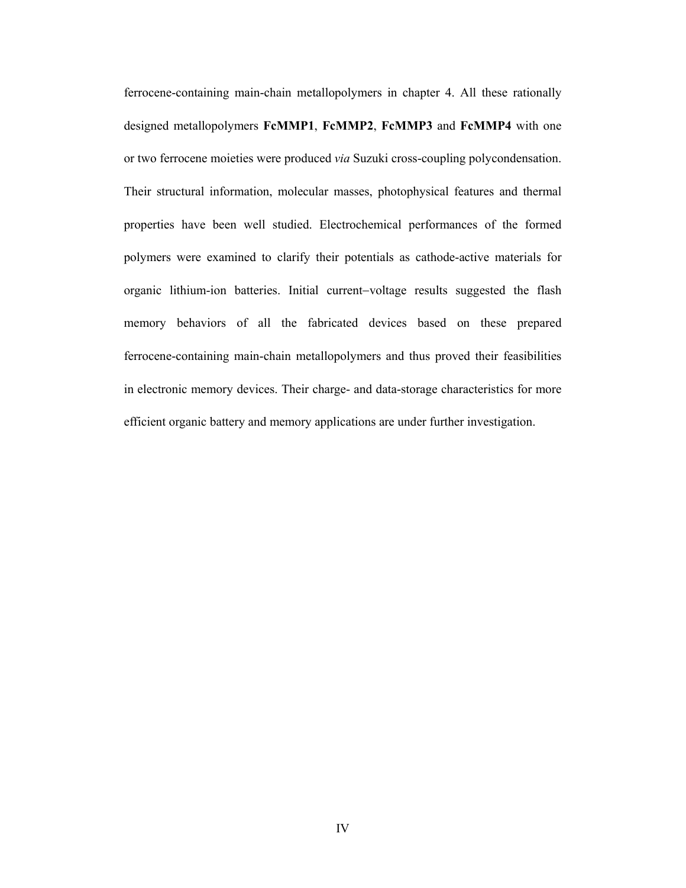ferrocene-containing main-chain metallopolymers in chapter 4. All these rationally designed metallopolymers **FcMMP1**, **FcMMP2**, **FcMMP3** and **FcMMP4** with one or two ferrocene moieties were produced *via* Suzuki cross-coupling polycondensation. Their structural information, molecular masses, photophysical features and thermal properties have been well studied. Electrochemical performances of the formed polymers were examined to clarify their potentials as cathode-active materials for organic lithium-ion batteries. Initial current-voltage results suggested the flash memory behaviors of all the fabricated devices based on these prepared ferrocene-containing main-chain metallopolymers and thus proved their feasibilities in electronic memory devices. Their charge- and data-storage characteristics for more efficient organic battery and memory applications are under further investigation.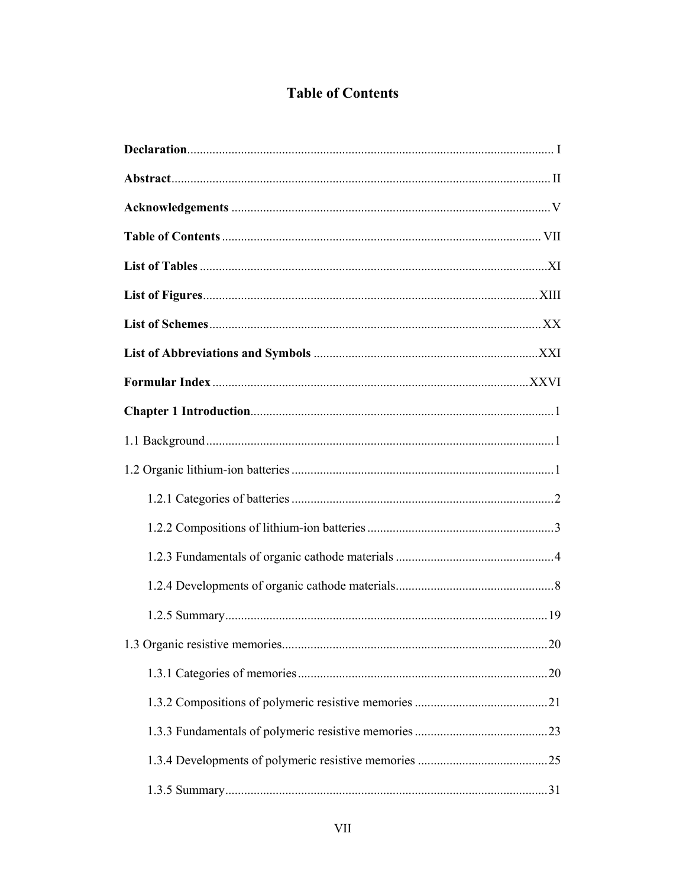### **Table of Contents**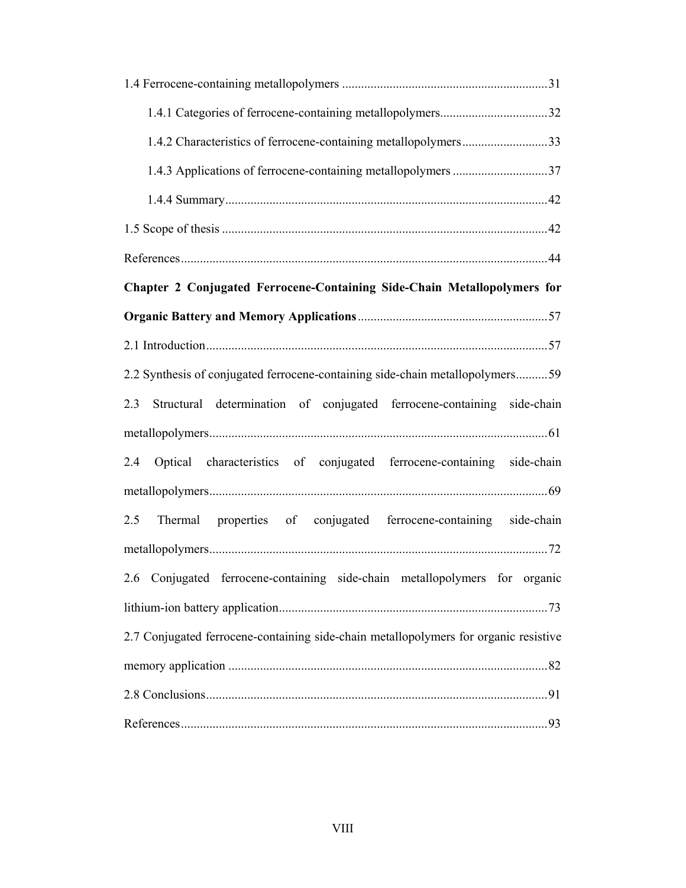| 1.4.2 Characteristics of ferrocene-containing metallopolymers33                      |
|--------------------------------------------------------------------------------------|
| 1.4.3 Applications of ferrocene-containing metallopolymers 37                        |
|                                                                                      |
|                                                                                      |
|                                                                                      |
| Chapter 2 Conjugated Ferrocene-Containing Side-Chain Metallopolymers for             |
|                                                                                      |
|                                                                                      |
| 2.2 Synthesis of conjugated ferrocene-containing side-chain metallopolymers59        |
| Structural determination of conjugated ferrocene-containing side-chain<br>2.3        |
|                                                                                      |
| Optical characteristics of conjugated ferrocene-containing side-chain<br>2.4         |
|                                                                                      |
| properties of conjugated ferrocene-containing side-chain<br>2.5<br>Thermal           |
|                                                                                      |
| 2.6 Conjugated ferrocene-containing side-chain metallopolymers for organic           |
|                                                                                      |
| 2.7 Conjugated ferrocene-containing side-chain metallopolymers for organic resistive |
|                                                                                      |
|                                                                                      |
|                                                                                      |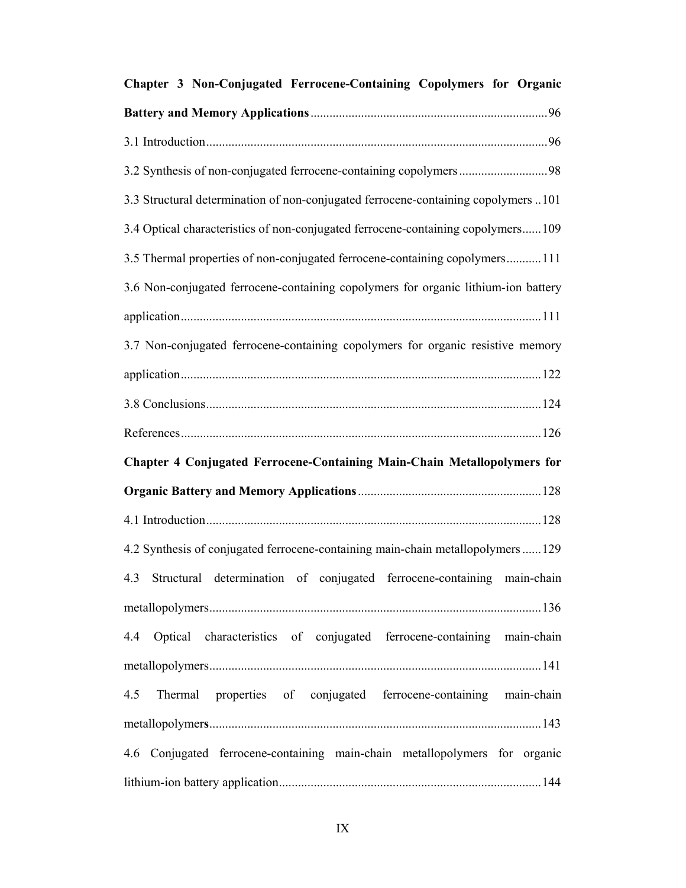| Chapter 3 Non-Conjugated Ferrocene-Containing Copolymers for Organic               |  |  |
|------------------------------------------------------------------------------------|--|--|
|                                                                                    |  |  |
|                                                                                    |  |  |
|                                                                                    |  |  |
| 3.3 Structural determination of non-conjugated ferrocene-containing copolymers 101 |  |  |
| 3.4 Optical characteristics of non-conjugated ferrocene-containing copolymers109   |  |  |
| 3.5 Thermal properties of non-conjugated ferrocene-containing copolymers111        |  |  |
| 3.6 Non-conjugated ferrocene-containing copolymers for organic lithium-ion battery |  |  |
|                                                                                    |  |  |
| 3.7 Non-conjugated ferrocene-containing copolymers for organic resistive memory    |  |  |
|                                                                                    |  |  |
|                                                                                    |  |  |
|                                                                                    |  |  |
| Chapter 4 Conjugated Ferrocene-Containing Main-Chain Metallopolymers for           |  |  |
|                                                                                    |  |  |
|                                                                                    |  |  |
| 4.2 Synthesis of conjugated ferrocene-containing main-chain metallopolymers 129    |  |  |
| 4.3 Structural determination of conjugated ferrocene-containing main-chain         |  |  |
|                                                                                    |  |  |
| 4.4 Optical characteristics of conjugated ferrocene-containing main-chain          |  |  |
|                                                                                    |  |  |
| 4.5 Thermal properties of conjugated ferrocene-containing main-chain               |  |  |
|                                                                                    |  |  |
| 4.6 Conjugated ferrocene-containing main-chain metallopolymers for organic         |  |  |
|                                                                                    |  |  |